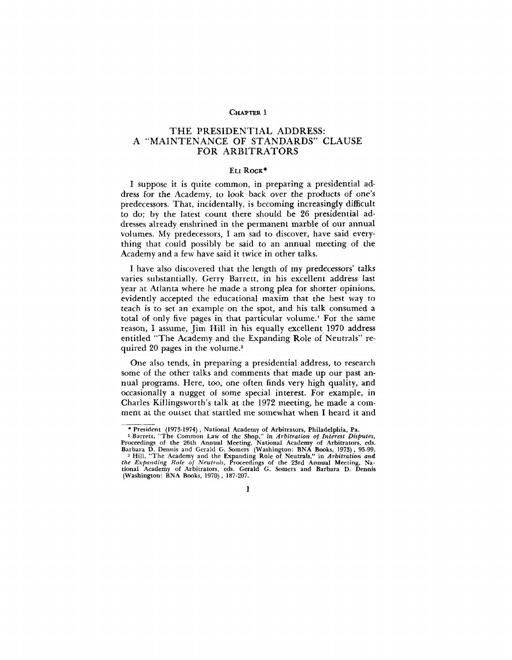## CHAPTER 1

## THE PRESIDENTIAL ADDRESS: A "MAINTENANCE OF STANDARDS" CLAUSE FOR ARBITRATORS

## ELI ROCK\*

I suppose it is quite common, in preparing a presidential address for the Academy, to look back over the products of one's predecessors. That, incidentally, is becoming increasingly difficult to do; by the latest count there should be 26 presidential addresses already enshrined in the permanent marble of our annual volumes. My predecessors, I am sad to discover, have said everything that could possibly be said to an annual meeting of the Academy and a few have said it twice in other talks.

I have also discovered that the length of my predecessors' talks varies substantially. Gerry Barrett, in his excellent address last year at Atlanta where he made a strong plea for shorter opinions, evidently accepted the educational maxim that the best way to teach is to set an example on the spot, and his talk consumed a total of only five pages in that particular volume.<sup>1</sup> For the same reason, I assume, Jim Hill in his equally excellent 1970 address entitled "The Academy and the Expanding Role of Neutrals" required 20 pages in the volume.<sup>2</sup>

One also tends, in preparing a presidential address, to research some of the other talks and comments that made up our past annual programs. Here, too, one often finds very high quality, and occasionally a nugget of some special interest. For example, in Charles Killingsworth's talk at the 1972 meeting, he made a comment at the outset that startled me somewhat when I heard it and

1

<sup>\*</sup> President (1973-1974) , National Academy of Arbitrators, Philadelphia, Pa.

<sup>&</sup>lt;sup>1</sup> Barrett, "The Common Law of the Shop," in Arbitration of Interest Disputes,<br>Proceedings of the 26th Annual Meeting, National Academy of Arbitrators, eds.<br>Barbara D. Dennis and Gerald G. Somers (Washington: BNA Books, 1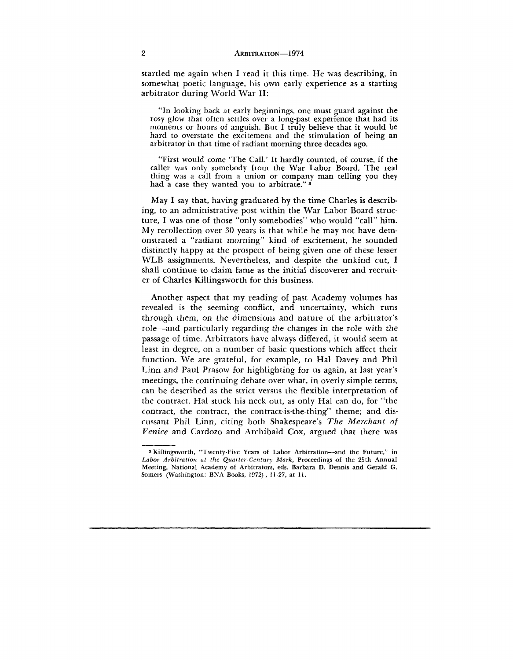startled me again when I read it this time. He was describing, in somewhat poetic language, his own early experience as a starting arbitrator during World War II:

"In looking back at early beginnings, one must guard against the rosy glow that often settles over a long-past experience that had its moments or hours of anguish. But I truly believe that it would be hard to overstate the excitement and the stimulation of being an arbitrator in that time of radiant morning three decades ago.

"First would come 'The Call.' It hardly counted, of course, if the caller was only somebody from the War Labor Board. The real thing was a call from a union or company man telling you they had a case they wanted you to arbitrate."<sup>3</sup>

May I say that, having graduated by the time Charles is describing, to an administrative post within the War Labor Board structure, I was one of those "only somebodies" who would "call" him. My recollection over 30 years is that while he may not have demonstrated a "radiant morning" kind of excitement, he sounded distinctly happy at the prospect of being given one of these lesser WLB assignments. Nevertheless, and despite the unkind cut, I shall continue to claim fame as the initial discoverer and recruiter of Charles Killingsworth for this business.

Another aspect that my reading of past Academy volumes has revealed is the seeming conflict, and uncertainty, which runs through them, on the dimensions and nature of the arbitrator's role—and particularly regarding the changes in the role with the passage of time. Arbitrators have always differed, it would seem at least in degree, on a number of basic questions which affect their function. We are grateful, for example, to Hal Davey and Phil Linn and Paul Prasow for highlighting for us again, at last year's meetings, the continuing debate over what, in overly simple terms, can be described as the strict versus the flexible interpretation of the contract. Hal stuck his neck out, as only Hal can do, for "the contract, the contract, the contract-is-the-thing" theme; and discussant Phil Linn, citing both Shakespeare's *The Merchant of Venice* and Cardozo and Archibald Cox, argued that there was

<sup>3</sup> Killingsworth, "Twenty-Five Years of Labor Arbitration—and the Future," in *Labor Arbitration at the Quarter-Century Mark,* Proceedings of the 25th Annual Meeting, National Academy of Arbitrators, eds. Barbara D. Dennis and Gerald G. Somers (Washington: BNA Books, 1972), 11-27, at 11.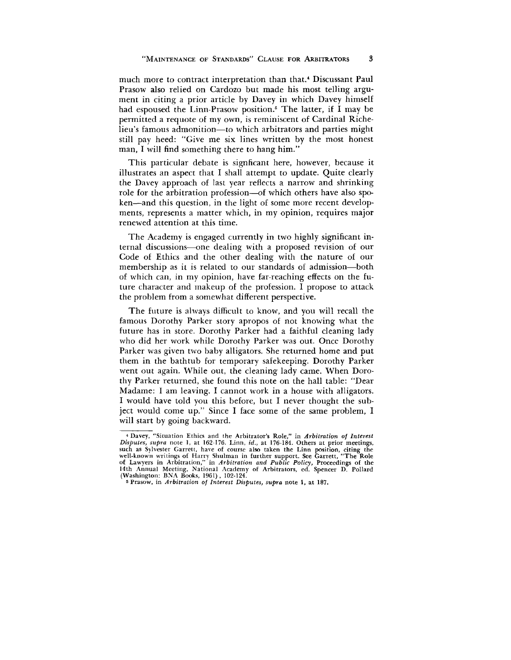much more to contract interpretation than that.<sup>4</sup> Discussant Paul Prasow also relied on Cardozo but made his most telling argument in citing a prior article by Davey in which Davey himself had espoused the Linn-Prasow position.<sup>5</sup> The latter, if I may be permitted a requote of my own, is reminiscent of Cardinal Richelieu's famous admonition—to which arbitrators and parties might still pay heed: "Give me six lines written by the most honest man, I will find something there to hang him."

This particular debate is signficant here, however, because it illustrates an aspect that I shall attempt to update. Quite clearly the Davey approach of last year reflects a narrow and shrinking role for the arbitration profession—of which others have also spoken—and this question, in the light of some more recent developments, represents a matter which, in my opinion, requires major renewed attention at this time.

The Academy is engaged currently in two highly significant internal discussions—one dealing with a proposed revision of our Code of Ethics and the other dealing with the nature of our membership as it is related to our standards of admission—both of which can, in my opinion, have far-reaching effects on the future character and makeup of the profession. I propose to attack the problem from a somewhat different perspective.

The future is always difficult to know, and you will recall the famous Dorothy Parker story apropos of not knowing what the future has in store. Dorothy Parker had a faithful cleaning lady who did her work while Dorothy Parker was out. Once Dorothy Parker was given two baby alligators. She returned home and put them in the bathtub for temporary safekeeping. Dorothy Parker went out again. While out, the cleaning lady came. When Dorothy Parker returned, she found this note on the hall table: "Dear Madame: I am leaving. I cannot work in a house with alligators. I would have told you this before, but I never thought the subject would come up." Since I face some of the same problem, I will start by going backward.

<sup>4</sup> Davey, "Situation Ethics and the Arbitrator's Role," in *Arbitration of Interest Disputes, supra* note 1, at 162-176. Linn, *id.,* at 176-184. Others at prior meetings, such as Sylvester Garrett, have of course also taken the Linn position, citing the<br>well-known writings of Harry Shulman in further support. See Garrett, "The Role<br>of Lawyers in Arbitration," in Arbitration and Public Polic (Washington: BNA Books, 1961) , 102-124.

s Prasow, in *Arbitration of Interest Disputes, supra* note 1, at 187.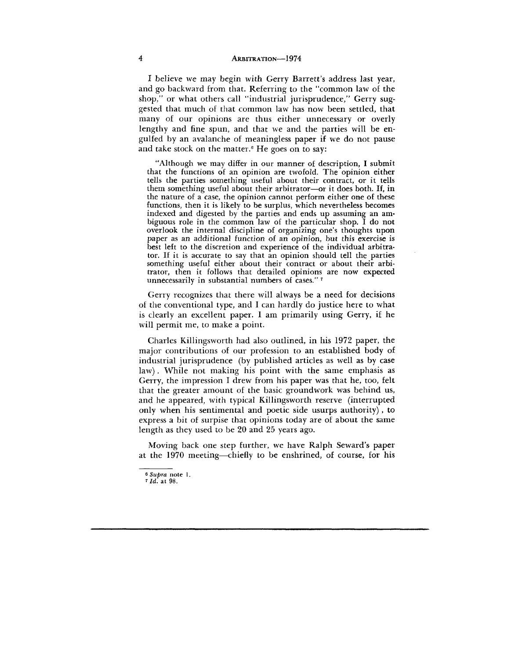I believe we may begin with Gerry Barrett's address last year, and go backward from that. Referring to the "common law of the shop," or what others call "industrial jurisprudence," Gerry suggested that much of that common law has now been settled, that many of our opinions are thus either unnecessary or overly lengthy and fine spun, and that we and the parties will be engulfed by an avalanche of meaningless paper if we do not pause and take stock on the matter.<sup>6</sup> He goes on to say:

"Although we may differ in our manner of description, I submit that the functions of an opinion are twofold. The opinion either tells the parties something useful about their contract, or it tells them something useful about their arbitrator—or it does both. If, in the nature of a case, the opinion cannot perform either one of these functions, then it is likely to be surplus, which nevertheless becomes indexed and digested by the parties and ends up assuming an ambiguous role in the common law of the particular shop. I do not overlook the internal discipline of organizing one's thoughts upon paper as an additional function of an opinion, but this exercise is best left to the discretion and experience of the individual arbitrator. If it is accurate to say that an opinion should tell the parties something useful either about their contract or about their arbitrator, then it follows that detailed opinions are now expected unnecessarily in substantial numbers of cases."<sup>7</sup>

Gerry recognizes that there will always be a need for decisions of the conventional type, and I can hardly do justice here to what is clearly an excellent paper. I am primarily using Gerry, if he will permit me, to make a point.

Charles Killingsworth had also outlined, in his 1972 paper, the major contributions of our profession to an established body of industrial jurisprudence (by published articles as well as by case law) . While not making his point with the same emphasis as Gerry, the impression I drew from his paper was that he, too, felt that the greater amount of the basic groundwork was behind us, and he appeared, with typical Killingsworth reserve (interrupted only when his sentimental and poetic side usurps authority) , to express a bit of surpise that opinions today are of about the same length as they used to be 20 and 25 years ago.

Moving back one step further, we have Ralph Seward's paper at the 1970 meeting—chiefly to be enshrined, of course, for his

<sup>6</sup>  *Supra* note 1.

<sup>7</sup> *Id.* at 98.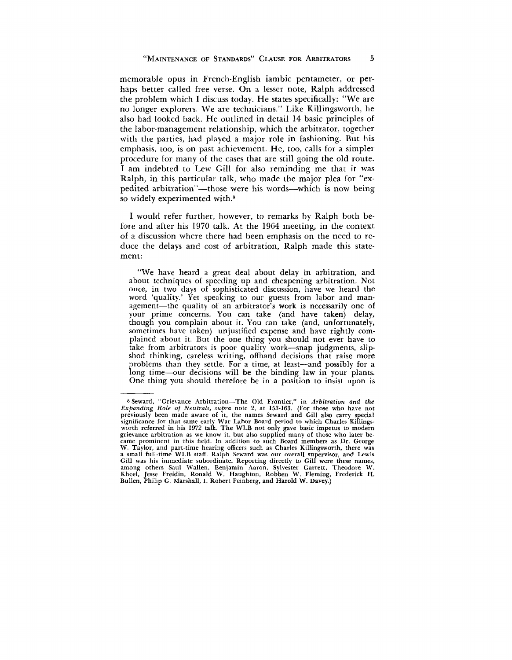memorable opus in French-English iambic pentameter, or perhaps better called free verse. On a lesser note, Ralph addressed the problem which I discuss today. He states specifically: "We are no longer explorers. We are technicians." Like Killingsworth, he also had looked back. He outlined in detail 14 basic principles of the labor-management relationship, which the arbitrator, together with the parties, had played a major role in fashioning. But his emphasis, too, is on past achievement. He, too, calls for a simplex procedure for many of the cases that are still going the old route. I am indebted to Lew Gill for also reminding me that it was Ralph, in this particular talk, who made the major plea for "expedited arbitration"—those were his words—which is now being so widely experimented with.<sup>8</sup>

I would refer further, however, to remarks by Ralph both before and after his 1970 talk. At the 1964 meeting, in the context of a discussion where there had been emphasis on the need to reduce the delays and cost of arbitration, Ralph made this statement:

"We have heard a great deal about delay in arbitration, and about techniques of speeding up and cheapening arbitration. Not once, in two days of sophisticated discussion, have we heard the word 'quality.' Yet speaking to our guests from labor and management—the quality of an arbitrator's work is necessarily one of your prime concerns. You can take (and have taken) delay, though you complain about it. You can take (and, unfortunately, sometimes have taken) unjustified expense and have rightly complained about it. But the one thing you should not ever have to take from arbitrators is poor quality work—snap judgments, slipshod thinking, careless writing, offhand decisions that raise more problems than they settle. For a time, at least—and possibly for a long time—our decisions will be the binding law in your plants. One thing you should therefore be in a position to insist upon is

<sup>8</sup> Seward, "Grievance Arbitration—The Old Frontier," in *Arbitration and the Expanding Role of Neutrals, supra* note 2, at 153-163. (For those who have not previously been made aware of it, the names Seward and Gill also carry special significance for that same early War Labor Board period to which Charles Killingsworth referred in his 1972 talk. The WLB not only gave basic impetus to modern<br>grievance arbitration as we know it, but also supplied many of those who later be-<br>came prominent in this field. In addition to such Board memb W. Taylor, and part-time hearing officers such as Charles Killingsworth, there was a small full-time WLB staff. Ralph Seward was our overall supervisor, and Lewis Gill was his immediate subordinate. Reporting directly to Gill were these names, among others Saul Wallen, Benjamin Aaron, Sylvester Garrett, Theodore W. Kheel, Jesse Freidin, Ronald W. Haughton, Robben W. Fleming, Frederick H. Bullen, Philip G. Marshall, I. Robert Feinberg, and Harold W. Davey.)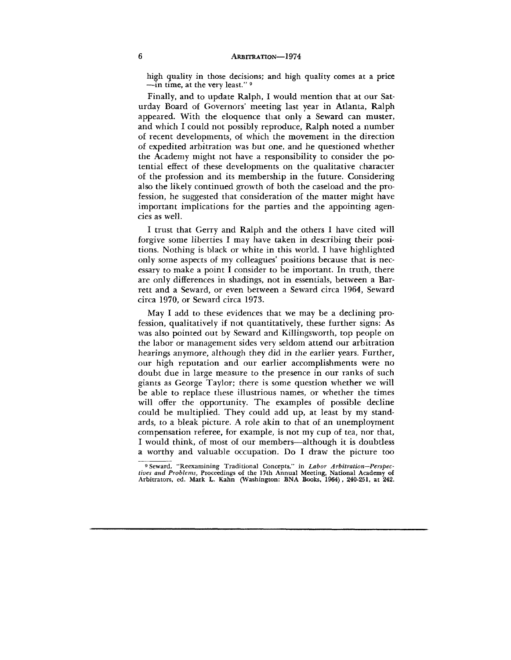high quality in those decisions; and high quality comes at a price  $\frac{1}{2}$  manner in time, at the very least."

Finally, and to update Ralph, I would mention that at our Saturday Board of Governors' meeting last year in Atlanta, Ralph appeared. With the eloquence that only a Seward can muster, and which I could not possibly reproduce, Ralph noted a number of recent developments, of which the movement in the direction of expedited arbitration was but one, and he questioned whether the Academy might not have a responsibility to consider the potential effect of these developments on the qualitative character of the profession and its membership in the future. Considering also the likely continued growth of both the caseload and the profession, he suggested that consideration of the matter might have important implications for the parties and the appointing agencies as well.

I trust that Gerry and Ralph and the others I have cited will forgive some liberties I may have taken in describing their positions. Nothing is black or white in this world. I have highlighted only some aspects of my colleagues' positions because that is necessary to make a point I consider to be important. In truth, there are only differences in shadings, not in essentials, between a Barrett and a Seward, or even between a Seward circa 1964, Seward circa 1970, or Seward circa 1973.

May I add to these evidences that we may be a declining profession, qualitatively if not quantitatively, these further signs: As was also pointed out by Seward and Killingsworth, top people on the labor or management sides very seldom attend our arbitration hearings anymore, although they did in the earlier years. Further, our high reputation and our earlier accomplishments were no doubt due in large measure to the presence in our ranks of such giants as George Taylor; there is some question whether we will be able to replace these illustrious names, or whether the times will offer the opportunity. The examples of possible decline could be multiplied. They could add up, at least by my standards, to a bleak picture. A role akin to that of an unemployment compensation referee, for example, is not my cup of tea, nor that, I would think, of most of our members—although it is doubtless a worthy and valuable occupation. Do I draw the picture too

<sup>9</sup> Seward, "Reexamining Traditional Concepts," in *Labor Arbitration—Perspectives and Problems,* Proceedings of the 17th Annual Meeting, National Academy of Arbitrators, ed. Mark L. Kahn (Washington: BNA Books, 1964), 240-251, at 242.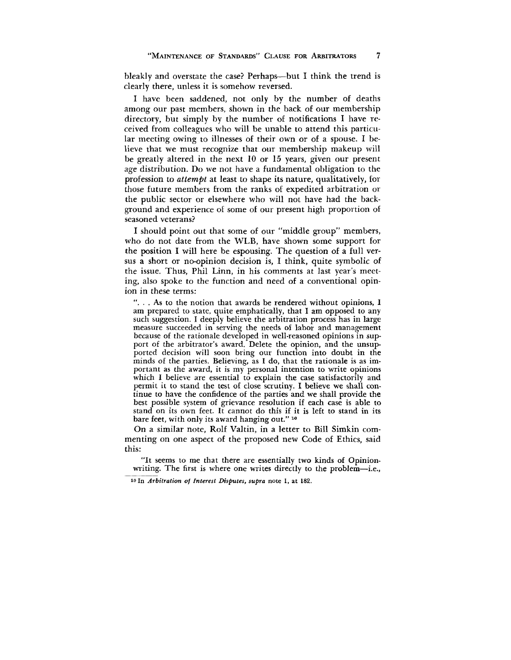bleakly and overstate the case? Perhaps—but I think the trend is clearly there, unless it is somehow reversed.

I have been saddened, not only by the number of deaths among our past members, shown in the back of our membership directory, but simply by the number of notifications I have received from colleagues who will be unable to attend this particular meeting owing to illnesses of their own or of a spouse. I believe that we must recognize that our membership makeup will be greatly altered in the next 10 or 15 years, given our present age distribution. Do we not have a fundamental obligation to the profession to *attempt* at least to shape its nature, qualitatively, for those future members from the ranks of expedited arbitration or the public sector or elsewhere who will not have had the background and experience of some of our present high proportion of seasoned veterans?

I should point out that some of our "middle group" members, who do not date from the WLB, have shown some support for the position I will here be espousing. The question of a full versus a short or no-opinion decision is, I think, quite symbolic of the issue. Thus, Phil Linn, in his comments at last year's meeting, also spoke to the function and need of a conventional opinion in these terms:

". . . As to the notion that awards be rendered without opinions, I am prepared to state, quite emphatically, that I am opposed to any such suggestion. I deeply believe the arbitration process has in large measure succeeded in serving the needs of labor and management because of the rationale developed in well-reasoned opinions in support of the arbitrator's award. Delete the opinion, and the unsupported decision will soon bring our function into doubt in the minds of the parties. Believing, as I do, that the rationale is as important as the award, it is my personal intention to write opinions which I believe are essential to explain the case satisfactorily and permit it to stand the test of close scrutiny. I believe we shall continue to have the confidence of the parties and we shall provide the best possible system of grievance resolution if each case is able to stand on its own feet. It cannot do this if it is left to stand in its bare feet, with only its award hanging out."<sup>10</sup>

On a similar note, Rolf Valtin, in a letter to Bill Simkin commenting on one aspect of the proposed new Code of Ethics, said this:

"It seems to me that there are essentially two kinds of Opinionwriting. The first is where one writes directly to the problem—i.e.,

<sup>10</sup> In Arbitration of Interest Disputes, supra note 1, at 182.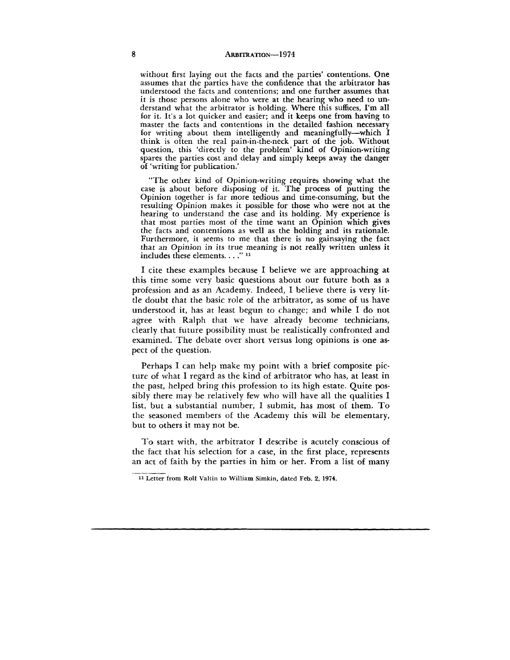without first laying out the facts and the parties' contentions. One assumes that the parties have the confidence that the arbitrator has understood the facts and contentions; and one further assumes that it is those persons alone who were at the hearing who need to understand what the arbitrator is holding. Where this suffices, I'm all for it. It's a lot quicker and easier; and it keeps one from having to master the facts and contentions in the detailed fashion necessary for writing about them intelligently and meaningfully—which I think is often the real pain-in-the-neck part of the job. Without question, this 'directly to the problem' kind of Opinion-writing spares the parties cost and delay and simply keeps away the danger of 'writing for publication.'

"The other kind of Opinion-writing requires showing what the case is about before disposing of it. The process of putting the Opinion together is far more tedious and time-consuming, but the resulting Opinion makes it possible for those who were not at the hearing to understand the case and its holding. My experience is that most parties most of the time want an Opinion which gives the facts and contentions as well as the holding and its rationale. Furthermore, it seems to me that there is no gainsaying the fact that an Opinion in its true meaning is not really written unless it  $include$  these elements.  $\ldots$ ."

I cite these examples because I believe we are approaching at this time some very basic questions about our future both as a profession and as an Academy. Indeed, I believe there is very little doubt that the basic role of the arbitrator, as some of us have understood it, has at least begun to change; and while I do not agree with Ralph that we have already become technicians, clearly that future possibility must be realistically confronted and examined. The debate over short versus long opinions is one aspect of the question.

Perhaps I can help make my point with a brief composite picture of what I regard as the kind of arbitrator who has, at least in the past, helped bring this profession to its high estate. Quite possibly there may be relatively few who will have all the qualities I list, but a substantial number, I submit, has most of them. To the seasoned members of the Academy this will be elementary, but to others it may not be.

To start with, the arbitrator I describe is acutely conscious of the fact that his selection for a case, in the first place, represents an act of faith by the parties in him or her. From a list of many

Letter from Rolf Valtin to William Simkin, dated Feb. 2, 1974.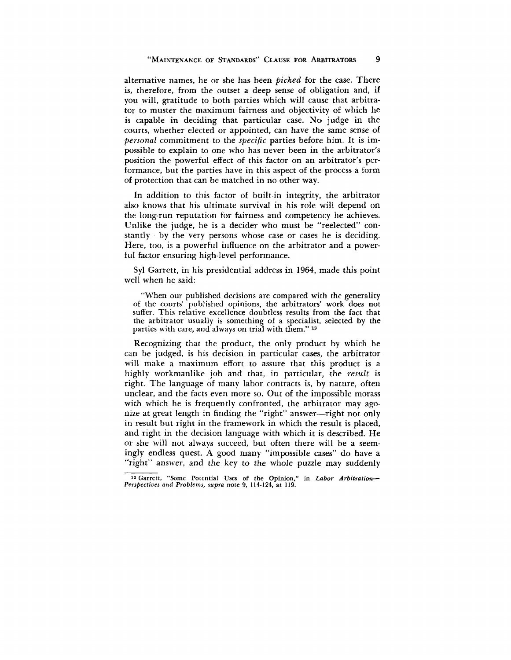alternative names, he or she has been *picked* for the case. There is, therefore, from the outset a deep sense of obligation and, if you will, gratitude to both parties which will cause that arbitrator to muster the maximum fairness and objectivity of which he is capable in deciding that particular case. No judge in the courts, whether elected or appointed, can have the same sense of *personal* commitment to the *specific* parties before him. It is impossible to explain to one who has never been in the arbitrator's position the powerful effect of this factor on an arbitrator's performance, but the parties have in this aspect of the process a form of protection that can be matched in no other way.

In addition to this factor of built-in integrity, the arbitrator also knows that his ultimate survival in his role will depend on the long-run reputation for fairness and competency he achieves. Unlike the judge, he is a decider who must be "reelected" constantly—by the very persons whose case or cases he is deciding. Here, too, is a powerful influence on the arbitrator and a powerful factor ensuring high-level performance.

Syl Garrett, in his presidential address in 1964, made this point well when he said:

"When our published decisions are compared with the generality of the courts' published opinions, the arbitrators' work does not suffer. This relative excellence doubtless results from the fact that the arbitrator usually is something of a specialist, selected by the parties with care, and always on trial with them." <sup>12</sup>

Recognizing that the product, the only product by which he can be judged, is his decision in particular cases, the arbitrator will make a maximum effort to assure that this product is a highly workmanlike job and that, in particular, the *result* is right. The language of many labor contracts is, by nature, often unclear, and the facts even more so. Out of the impossible morass with which he is frequently confronted, the arbitrator may agonize at great length in finding the "right" answer—right not only in result but right in the framework in which the result is placed, and right in the decision language with which it is described. He or she will not always succeed, but often there will be a seemingly endless quest. A good many "impossible cases" do have a "right" answer, and the key to the whole puzzle may suddenly

<sup>12</sup> Garrett, "Some Potential Uses of **the Opinion,"** in *Labor Arbitration***—** *Perspectives and Problems, supra* note 9, 114-124, at 119.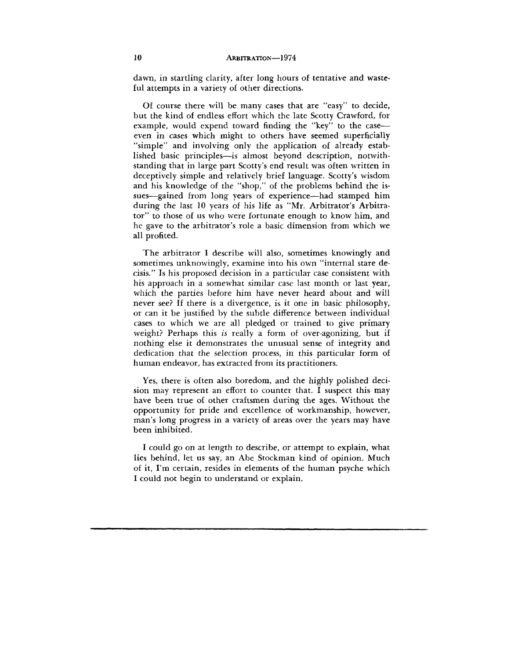dawn, in startling clarity, after long hours of tentative and wasteful attempts in a variety of other directions.

Of course there will be many cases that are "easy" to decide, but the kind of endless effort which the late Scotty Crawford, for example, would expend toward finding the "key" to the case even in cases which might to others have seemed superficially "simple" and involving only the application of already established basic principles—is almost beyond description, notwithstanding that in large part Scotty's end result was often written in deceptively simple and relatively brief language. Scotty's wisdom and his knowledge of the "shop," of the problems behind the issues—gained from long years of experience—had stamped him during the last 10 years of his life as "Mr. Arbitrator's Arbitrator" to those of us who were fortunate enough to know him, and he gave to the arbitrator's role a basic dimension from which we all profited.

The arbitrator I describe will also, sometimes knowingly and sometimes unknowingly, examine into his own "internal stare decisis." Is his proposed decision in a particular case consistent with his approach in a somewhat similar case last month or last year, which the parties before him have never heard about and will never see? If there is a divergence, is it one in basic philosophy, or can it be justified by the subtle difference between individual cases to which we are all pledged or trained to give primary weight? Perhaps this *is* really a form of over-agonizing, but if nothing else it demonstrates the unusual sense of integrity and dedication that the selection process, in this particular form of human endeavor, has extracted from its practitioners.

Yes, there is often also boredom, and the highly polished decision may represent an effort to counter that. I suspect this may have been true of other craftsmen during the ages. Without the opportunity for pride and excellence of workmanship, however, man's long progress in a variety of areas over the years may have been inhibited.

I could go on at length to describe, or attempt to explain, what lies behind, let us say, an Abe Stockman kind of opinion. Much of it, I'm certain, resides in elements of the human psyche which I could not begin to understand or explain.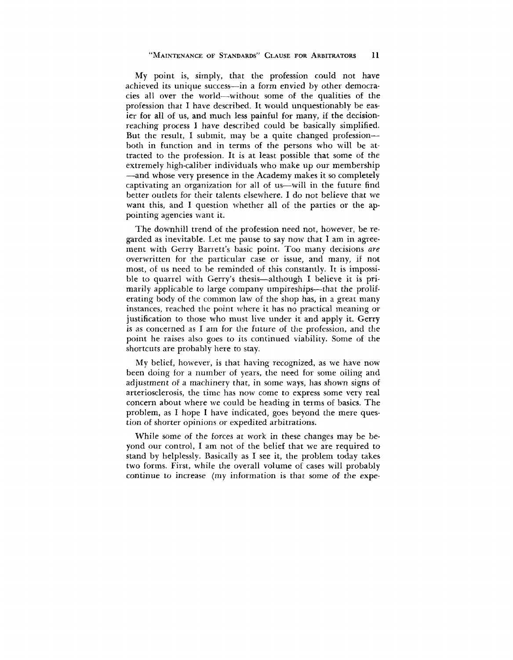My point is, simply, that the profession could not have achieved its unique success—in a form envied by other democracies all over the world—without some of the qualities of the profession that I have described. It would unquestionably be easier for all of us, and much less painful for many, if the decisionreaching process I have described could be basically simplified. But the result, I submit, may be a quite changed profession both in function and in terms of the persons who will be attracted to the profession. It is at least possible that some of the extremely high-caliber individuals who make up our membership —and whose very presence in the Academy makes it so completely captivating an organization for all of us—will in the future find better outlets for their talents elsewhere. I do not believe that we want this, and I question whether all of the parties or the appointing agencies want it.

The downhill trend of the profession need not, however, be regarded as inevitable. Let me pause to say now that I am in agreement with Gerry Barrett's basic point. Too many decisions *are* overwritten for the particular case or issue, and many, if not most, of us need to be reminded of this constantly. It is impossible to quarrel with Gerry's thesis—although I believe it is primarily applicable to large company umpireships—that the proliferating body of the common law of the shop has, in a great many instances, reached the point where it has no practical meaning or justification to those who must live under it and apply it. Gerry is as concerned as I am for the future of the profession, and the point he raises also goes to its continued viability. Some of the shortcuts are probably here to stay.

My belief, however, is that having recognized, as we have now been doing for a number of years, the need for some oiling and adjustment of a machinery that, in some ways, has shown signs of arteriosclerosis, the time has now come to express some very real concern about where we could be heading in terms of basics. The problem, as I hope I have indicated, goes beyond the mere question of shorter opinions or expedited arbitrations.

While some of the forces at work in these changes may be beyond our control, I am not of the belief that we are required to stand by helplessly. Basically as I see it, the problem today takes two forms. First, while the overall volume of cases will probably continue to increase (my information is that some of the expe-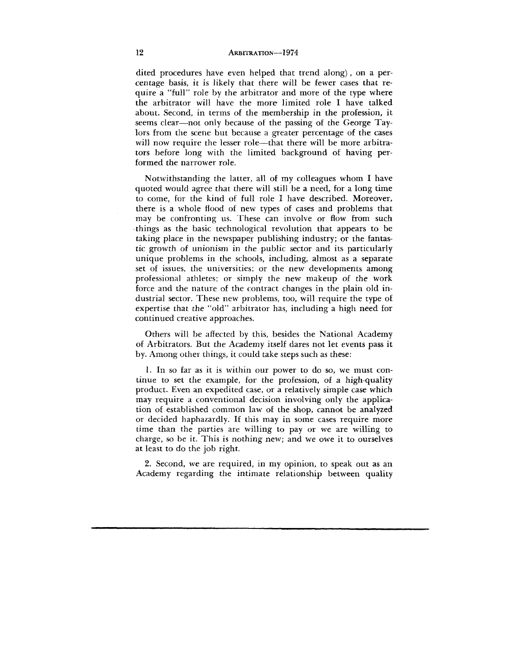dited procedures have even helped that trend along), on a percentage basis, it is likely that there will be fewer cases that require a "full" role by the arbitrator and more of the type where the arbitrator will have the more limited role I have talked about. Second, in terms of the membership in the profession, it seems clear—not only because of the passing of the George Taylors from the scene but because a greater percentage of the cases will now require the lesser role—that there will be more arbitrators before long with the limited background of having performed the narrower role.

Notwithstanding the latter, all of my colleagues whom I have quoted would agree that there will still be a need, for a long time to come, for the kind of full role I have described. Moreover, there is a whole flood of new types of cases and problems that may be confronting us. These can involve or flow from such things as the basic technological revolution that appears to be taking place in the newspaper publishing industry; or the fantastic growth of unionism in the public sector and its particularly unique problems in the schools, including, almost as a separate set of issues, the universities; or the new developments among professional athletes; or simply the new makeup of the work force and the nature of the contract changes in the plain old industrial sector. These new problems, too, will require the type of expertise that the "old" arbitrator has, including a high need for continued creative approaches.

Others will be affected by this, besides the National Academy of Arbitrators. But the Academy itself dares not let events pass it by. Among other things, it could take steps such as these:

1. In so far as it is within our power to do so, we must continue to set the example, for the profession, of a high-quality product. Even an expedited case, or a relatively simple case which may require a conventional decision involving only the application of established common law of the shop, cannot be analyzed or decided haphazardly. If this may in some cases require more time than the parties are willing to pay or we are willing to charge, so be it. This is nothing new; and we owe it to ourselves at least to do the job right.

2. Second, we are required, in my opinion, to speak out as an Academy regarding the intimate relationship between quality